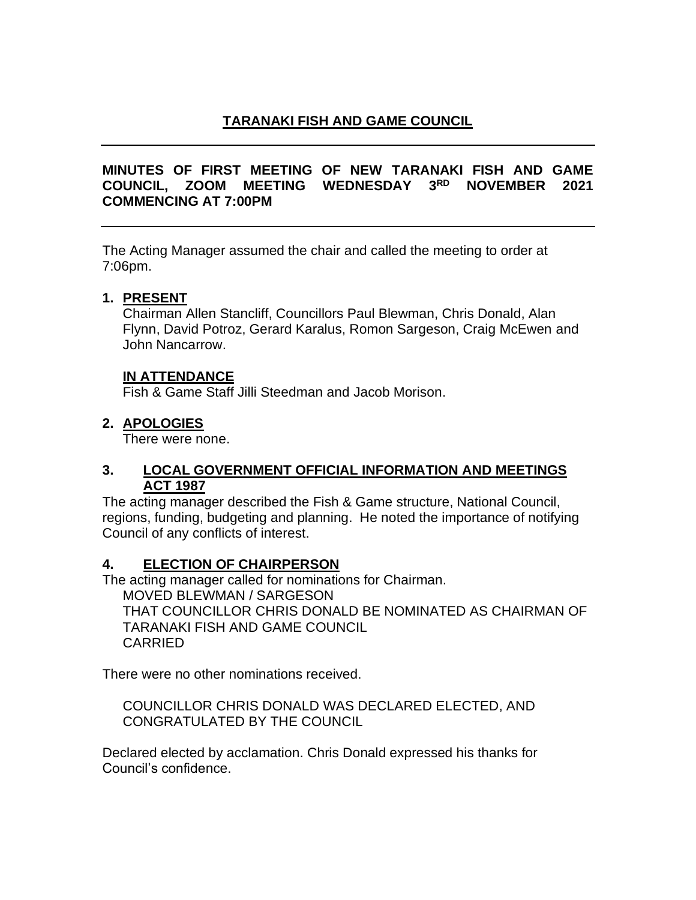### **TARANAKI FISH AND GAME COUNCIL**

### **MINUTES OF FIRST MEETING OF NEW TARANAKI FISH AND GAME COUNCIL, ZOOM MEETING WEDNESDAY 3 RD NOVEMBER 2021 COMMENCING AT 7:00PM**

The Acting Manager assumed the chair and called the meeting to order at 7:06pm.

#### **1. PRESENT**

Chairman Allen Stancliff, Councillors Paul Blewman, Chris Donald, Alan Flynn, David Potroz, Gerard Karalus, Romon Sargeson, Craig McEwen and John Nancarrow.

### **IN ATTENDANCE**

Fish & Game Staff Jilli Steedman and Jacob Morison.

### **2. APOLOGIES**

There were none.

### **3. LOCAL GOVERNMENT OFFICIAL INFORMATION AND MEETINGS ACT 1987**

The acting manager described the Fish & Game structure, National Council, regions, funding, budgeting and planning. He noted the importance of notifying Council of any conflicts of interest.

### **4. ELECTION OF CHAIRPERSON**

The acting manager called for nominations for Chairman.

MOVED BLEWMAN / SARGESON

THAT COUNCILLOR CHRIS DONALD BE NOMINATED AS CHAIRMAN OF TARANAKI FISH AND GAME COUNCIL CARRIED

There were no other nominations received.

COUNCILLOR CHRIS DONALD WAS DECLARED ELECTED, AND CONGRATULATED BY THE COUNCIL

Declared elected by acclamation. Chris Donald expressed his thanks for Council's confidence.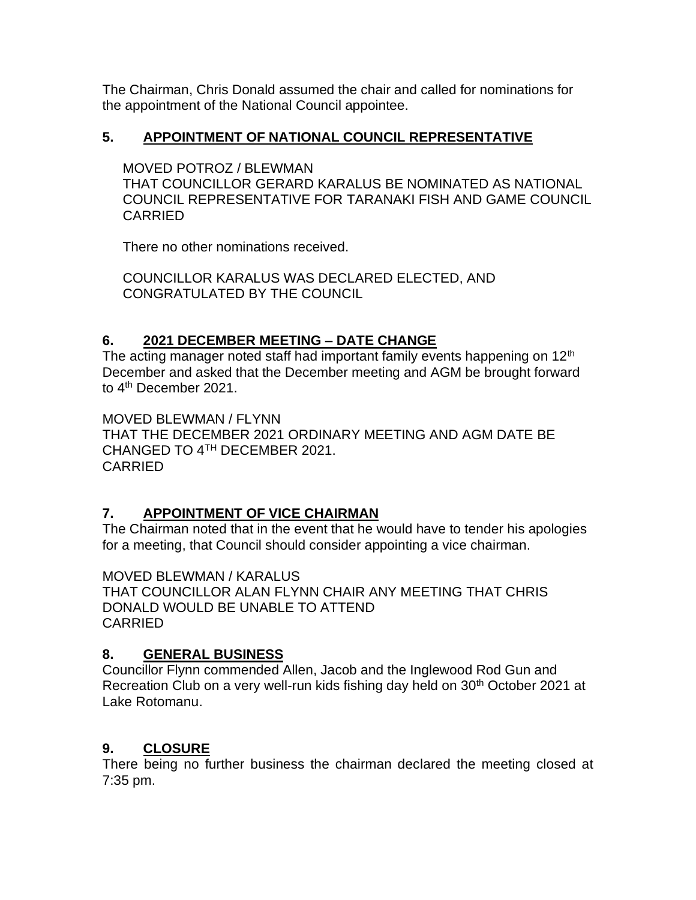The Chairman, Chris Donald assumed the chair and called for nominations for the appointment of the National Council appointee.

### **5. APPOINTMENT OF NATIONAL COUNCIL REPRESENTATIVE**

MOVED POTROZ / BLEWMAN

THAT COUNCILLOR GERARD KARALUS BE NOMINATED AS NATIONAL COUNCIL REPRESENTATIVE FOR TARANAKI FISH AND GAME COUNCIL CARRIED

There no other nominations received.

COUNCILLOR KARALUS WAS DECLARED ELECTED, AND CONGRATULATED BY THE COUNCIL

# **6. 2021 DECEMBER MEETING – DATE CHANGE**

The acting manager noted staff had important family events happening on  $12<sup>th</sup>$ December and asked that the December meeting and AGM be brought forward to 4<sup>th</sup> December 2021.

MOVED BLEWMAN / FLYNN THAT THE DECEMBER 2021 ORDINARY MEETING AND AGM DATE BE CHANGED TO 4TH DECEMBER 2021. CARRIED

### **7. APPOINTMENT OF VICE CHAIRMAN**

The Chairman noted that in the event that he would have to tender his apologies for a meeting, that Council should consider appointing a vice chairman.

MOVED BLEWMAN / KARALUS THAT COUNCILLOR ALAN FLYNN CHAIR ANY MEETING THAT CHRIS DONALD WOULD BE UNABLE TO ATTEND CARRIED

### **8. GENERAL BUSINESS**

Councillor Flynn commended Allen, Jacob and the Inglewood Rod Gun and Recreation Club on a very well-run kids fishing day held on 30<sup>th</sup> October 2021 at Lake Rotomanu.

# **9. CLOSURE**

There being no further business the chairman declared the meeting closed at 7:35 pm.